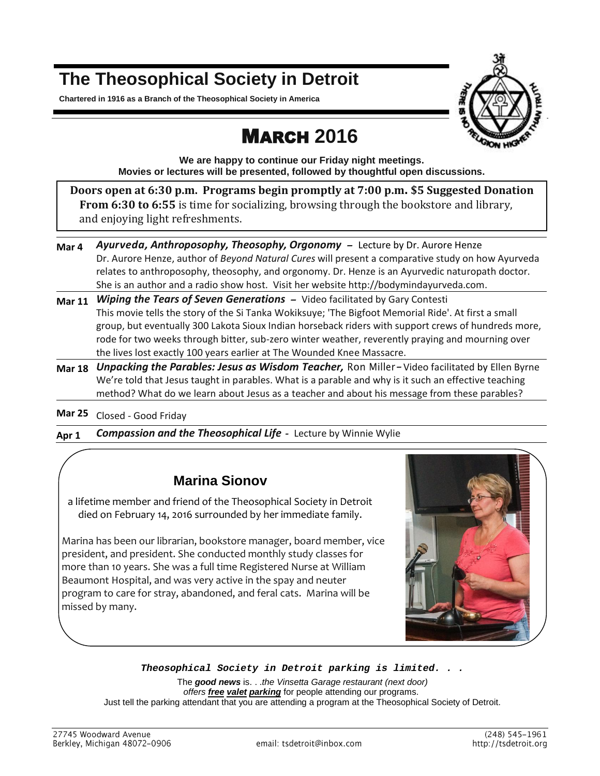## **The Theosophical Society in Detroit**

**Chartered in 1916 as a Branch of the Theosophical Society in America**



# MARCH **2016**

**We are happy to continue our Friday night meetings. Movies or lectures will be presented, followed by thoughtful open discussions.**

**Doors open at 6:30 p.m. Programs begin promptly at 7:00 p.m. \$5 Suggested Donation From 6:30 to 6:55** is time for socializing, browsing through the bookstore and library, and enjoying light refreshments.

- Mar 4 Ayurveda, Anthroposophy, Theosophy, Orgonomy Lecture by Dr. Aurore Henze Dr. Aurore Henze, author of *Beyond Natural Cures* will present a comparative study on how Ayurveda relates to anthroposophy, theosophy, and orgonomy. Dr. Henze is an Ayurvedic naturopath doctor. She is an author and a radio show host. Visit her websit[e http://bodymindayurveda.com.](http://bodymindayurveda.com/)
- **Mar 11** *Wiping the Tears of Seven Generations* Video facilitated by Gary Contesti This movie tells the story of the Si Tanka Wokiksuye; 'The Bigfoot Memorial Ride'. At first a small group, but eventually 300 Lakota Sioux Indian horseback riders with support crews of hundreds more, rode for two weeks through bitter, sub-zero winter weather, reverently praying and mourning over the lives lost exactly 100 years earlier at The Wounded Knee Massacre.
- Mar 18 Unpacking the Parables: Jesus as Wisdom Teacher, Ron Miller-Video facilitated by Ellen Byrne We're told that Jesus taught in parables. What is a parable and why is it such an effective teaching method? What do we learn about Jesus as a teacher and about his message from these parables?

**Mar 25** Closed - Good Friday

**Apr 1** *Compassion and the Theosophical Life -* Lecture by Winnie Wylie

## **Marina Sionov**

a lifetime member and friend of the Theosophical Society in Detroit died on February 14, 2016 surrounded by her immediate family.

Marina has been our librarian, bookstore manager, board member, vice president, and president. She conducted monthly study classes for more than 10 years. She was a full time Registered Nurse at William Beaumont Hospital, and was very active in the spay and neuter program to care for stray, abandoned, and feral cats. Marina will be missed by many.



### *Theosophical Society in Detroit parking is limited. . .*

The *good news* is. . .*the Vinsetta Garage restaurant (next door) offers free valet parking* for people attending our programs. Just tell the parking attendant that you are attending a program at the Theosophical Society of Detroit.